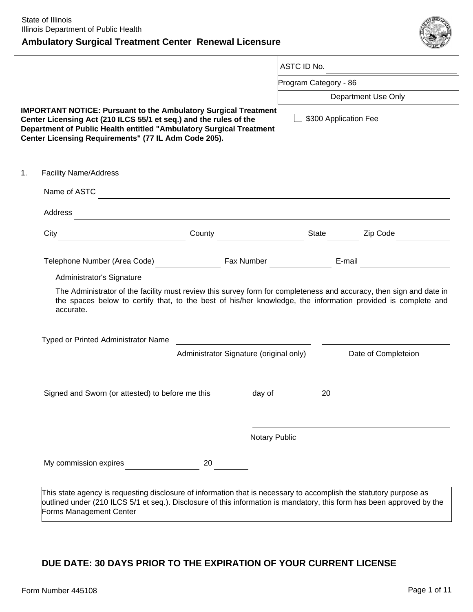# **Ambulatory Surgical Treatment Center Renewal Licensure**



|                                                                                                                                                                                                                                                                            |                                                                                                                                                                                                                                                  |        |                                                                                                                      | ASTC ID No.           |                     |
|----------------------------------------------------------------------------------------------------------------------------------------------------------------------------------------------------------------------------------------------------------------------------|--------------------------------------------------------------------------------------------------------------------------------------------------------------------------------------------------------------------------------------------------|--------|----------------------------------------------------------------------------------------------------------------------|-----------------------|---------------------|
|                                                                                                                                                                                                                                                                            |                                                                                                                                                                                                                                                  |        |                                                                                                                      | Program Category - 86 |                     |
|                                                                                                                                                                                                                                                                            |                                                                                                                                                                                                                                                  |        |                                                                                                                      |                       | Department Use Only |
| <b>IMPORTANT NOTICE: Pursuant to the Ambulatory Surgical Treatment</b><br>Center Licensing Act (210 ILCS 55/1 et seq.) and the rules of the<br>Department of Public Health entitled "Ambulatory Surgical Treatment<br>Center Licensing Requirements" (77 IL Adm Code 205). |                                                                                                                                                                                                                                                  |        |                                                                                                                      | \$300 Application Fee |                     |
|                                                                                                                                                                                                                                                                            | <b>Facility Name/Address</b>                                                                                                                                                                                                                     |        |                                                                                                                      |                       |                     |
|                                                                                                                                                                                                                                                                            | Name of ASTC                                                                                                                                                                                                                                     |        |                                                                                                                      |                       |                     |
|                                                                                                                                                                                                                                                                            | Address                                                                                                                                                                                                                                          |        |                                                                                                                      |                       |                     |
|                                                                                                                                                                                                                                                                            |                                                                                                                                                                                                                                                  |        |                                                                                                                      | State                 |                     |
|                                                                                                                                                                                                                                                                            | City                                                                                                                                                                                                                                             | County |                                                                                                                      |                       | Zip Code            |
|                                                                                                                                                                                                                                                                            | Telephone Number (Area Code)                                                                                                                                                                                                                     |        | Fax Number                                                                                                           |                       | E-mail              |
|                                                                                                                                                                                                                                                                            | Administrator's Signature                                                                                                                                                                                                                        |        |                                                                                                                      |                       |                     |
|                                                                                                                                                                                                                                                                            | The Administrator of the facility must review this survey form for completeness and accuracy, then sign and date in<br>the spaces below to certify that, to the best of his/her knowledge, the information provided is complete and<br>accurate. |        |                                                                                                                      |                       |                     |
|                                                                                                                                                                                                                                                                            | Typed or Printed Administrator Name                                                                                                                                                                                                              |        | <u> 1980 - Jan Stein Stein Stein Stein Stein Stein Stein Stein Stein Stein Stein Stein Stein Stein Stein Stein S</u> |                       |                     |
|                                                                                                                                                                                                                                                                            |                                                                                                                                                                                                                                                  |        | Administrator Signature (original only)                                                                              |                       | Date of Completeion |
|                                                                                                                                                                                                                                                                            | Signed and Sworn (or attested) to before me this                                                                                                                                                                                                 |        | day of                                                                                                               | 20                    |                     |
|                                                                                                                                                                                                                                                                            |                                                                                                                                                                                                                                                  |        | Notary Public                                                                                                        |                       |                     |

# **DUE DATE: 30 DAYS PRIOR TO THE EXPIRATION OF YOUR CURRENT LICENSE**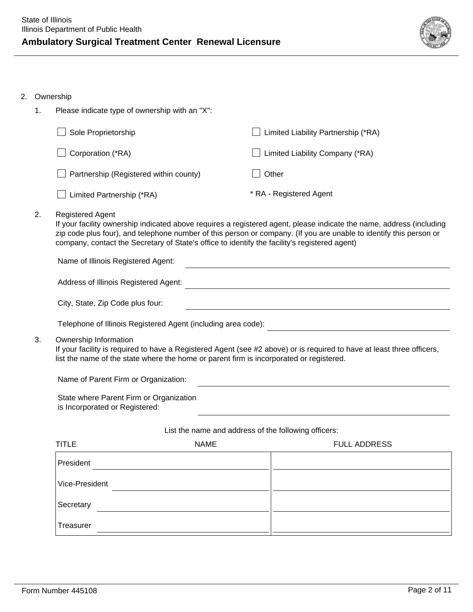- 2. Ownership
	- 1. Please indicate type of ownership with an "X":  $\Box$  Sole Proprietorship  $\Box$  Limited Liability Partnership (\*RA)
		- $\Box$  Corporation (\*RA)

 $\Box$  Limited Partnership (\*RA)

 $\Box$  Partnership (Registered within county)

 $\Box$  Other \* RA - Registered Agent

 $\Box$  Limited Liability Company (\*RA)

2. Registered Agent

If your facility ownership indicated above requires a registered agent, please indicate the name, address (including zip code plus four), and telephone number of this person or company. (If you are unable to identify this person or company, contact the Secretary of State's office to identify the facility's registered agent)

Name of Illinois Registered Agent: Address of Illinois Registered Agent: City, State, Zip Code plus four: Telephone of Illinois Registered Agent (including area code): 3. Ownership Information If your facility is required to have a Registered Agent (see #2 above) or is required to have at least three officers,

list the name of the state where the home or parent firm is incorporated or registered.

Name of Parent Firm or Organization:

State where Parent Firm or Organization is Incorporated or Registered:

### List the name and address of the following officers:

| <b>TITLE</b>   | <b>NAME</b> | <b>FULL ADDRESS</b> |
|----------------|-------------|---------------------|
| President      |             |                     |
| Vice-President |             |                     |
| Secretary      |             |                     |
| Treasurer      |             |                     |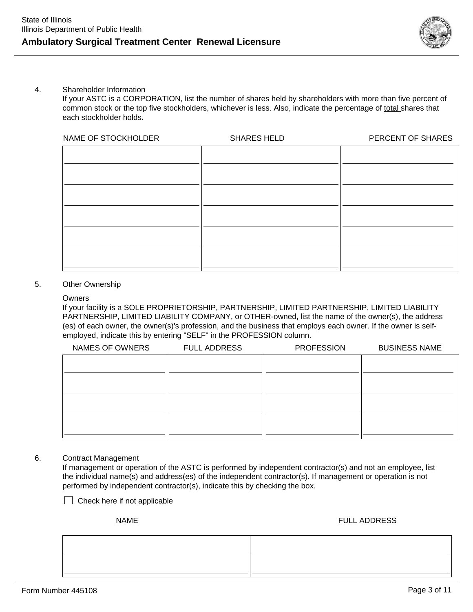

#### 4. Shareholder Information

If your ASTC is a CORPORATION, list the number of shares held by shareholders with more than five percent of common stock or the top five stockholders, whichever is less. Also, indicate the percentage of total shares that each stockholder holds.

| NAME OF STOCKHOLDER | <b>SHARES HELD</b> | PERCENT OF SHARES |
|---------------------|--------------------|-------------------|
|                     |                    |                   |
|                     |                    |                   |
|                     |                    |                   |
|                     |                    |                   |
|                     |                    |                   |
|                     |                    |                   |
|                     |                    |                   |
|                     |                    |                   |
|                     |                    |                   |

#### 5. Other Ownership

#### **Owners**

If your facility is a SOLE PROPRIETORSHIP, PARTNERSHIP, LIMITED PARTNERSHIP, LIMITED LIABILITY PARTNERSHIP, LIMITED LIABILITY COMPANY, or OTHER-owned, list the name of the owner(s), the address (es) of each owner, the owner(s)'s profession, and the business that employs each owner. If the owner is selfemployed, indicate this by entering "SELF" in the PROFESSION column.

| NAMES OF OWNERS | <b>FULL ADDRESS</b> | <b>PROFESSION</b> | <b>BUSINESS NAME</b> |
|-----------------|---------------------|-------------------|----------------------|
|                 |                     |                   |                      |
|                 |                     |                   |                      |
|                 |                     |                   |                      |
|                 |                     |                   |                      |
|                 |                     |                   |                      |
|                 |                     |                   |                      |
|                 |                     |                   |                      |

#### 6. Contract Management

If management or operation of the ASTC is performed by independent contractor(s) and not an employee, list the individual name(s) and address(es) of the independent contractor(s). If management or operation is not performed by independent contractor(s), indicate this by checking the box.

 $\Box$  Check here if not applicable

NAME FULL ADDRESS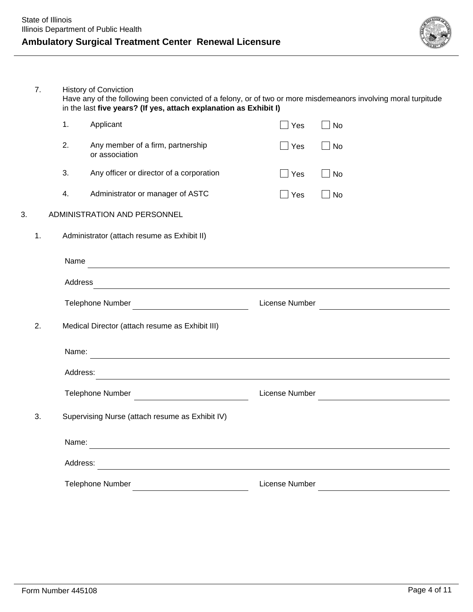

7. History of Conviction Have any of the following been convicted of a felony, or of two or more misdemeanors involving moral turpitude in the last **five years? (If yes, attach explanation as Exhibit I)**

|    |    | 1.       | Applicant                                                                                                             | Yes            | <b>No</b> |
|----|----|----------|-----------------------------------------------------------------------------------------------------------------------|----------------|-----------|
|    |    | 2.       | Any member of a firm, partnership<br>or association                                                                   | Yes            | $\Box$ No |
|    |    | 3.       | Any officer or director of a corporation                                                                              | Yes            | <b>No</b> |
|    |    | 4.       | Administrator or manager of ASTC                                                                                      | Yes            | No        |
| 3. |    |          | ADMINISTRATION AND PERSONNEL                                                                                          |                |           |
|    | 1. |          | Administrator (attach resume as Exhibit II)                                                                           |                |           |
|    |    | Name     |                                                                                                                       |                |           |
|    |    | Address  | <u> 1989 - Johann Stoff, die staatsbeskip van die Stoff van die Stoff van die Stoff van die Stoff van die Stoff</u>   |                |           |
|    |    |          | <b>Telephone Number</b><br><u> 1989 - Johann Stoff, fransk politik (d. 19</u>                                         | License Number |           |
|    | 2. |          | Medical Director (attach resume as Exhibit III)                                                                       |                |           |
|    |    | Name:    | <u> 1989 - Johann Harry Harry Harry Harry Harry Harry Harry Harry Harry Harry Harry Harry Harry Harry Harry Harry</u> |                |           |
|    |    | Address: | <u> 1989 - Johann Stoff, amerikansk politiker (d. 1989)</u>                                                           |                |           |
|    |    |          | Telephone Number                                                                                                      | License Number |           |
|    | 3. |          | Supervising Nurse (attach resume as Exhibit IV)                                                                       |                |           |
|    |    | Name:    | <u> 1989 - Johann Stein, marwolaethau a bhann an chomhair an chomhair an chomhair an chomhair an chomhair an cho</u>  |                |           |
|    |    | Address: | and the control of the control of the control of the control of the control of the control of the control of the      |                |           |
|    |    |          | Telephone Number                                                                                                      | License Number |           |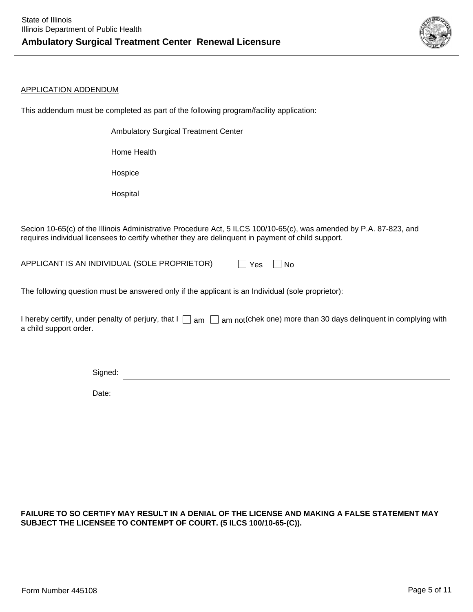

#### APPLICATION ADDENDUM

This addendum must be completed as part of the following program/facility application:

Ambulatory Surgical Treatment Center

Home Health

Hospice

Hospital

Secion 10-65(c) of the Illinois Administrative Procedure Act, 5 ILCS 100/10-65(c), was amended by P.A. 87-823, and requires individual licensees to certify whether they are delinquent in payment of child support.

APPLICANT IS AN INDIVIDUAL (SOLE PROPRIETOR)  $\Box$  Yes  $\Box$  No

The following question must be answered only if the applicant is an Individual (sole proprietor):

I hereby certify, under penalty of perjury, that I  $\Box$  am  $\Box$  am not(chek one) more than 30 days delinquent in complying with a child support order.

> <u> 1989 - Johann Barn, mars ann an t-Amhain Aonaich an t-Aonaich an t-Aonaich ann an t-Aonaich ann an t-Aonaich</u> Signed: Date:

## **FAILURE TO SO CERTIFY MAY RESULT IN A DENIAL OF THE LICENSE AND MAKING A FALSE STATEMENT MAY SUBJECT THE LICENSEE TO CONTEMPT OF COURT. (5 ILCS 100/10-65-(C)).**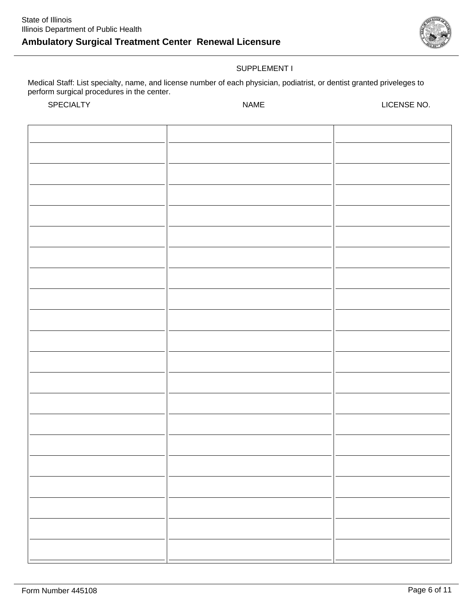

# SUPPLEMENT I

Medical Staff: List specialty, name, and license number of each physician, podiatrist, or dentist granted priveleges to perform surgical procedures in the center.

SPECIALTY NAME LICENSE NO.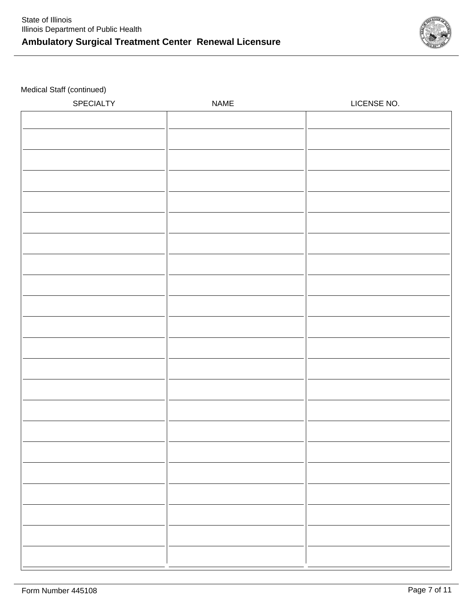

Medical Staff (continued)

| SPECIALTY | NAME | LICENSE NO. |
|-----------|------|-------------|
|           |      |             |
|           |      |             |
|           |      |             |
|           |      |             |
|           |      |             |
|           |      |             |
|           |      |             |
|           |      |             |
|           |      |             |
|           |      |             |
|           |      |             |
|           |      |             |
|           |      |             |
|           |      |             |
|           |      |             |
|           |      |             |
|           |      |             |
|           |      |             |
|           |      |             |
|           |      |             |
|           |      |             |
|           |      |             |
|           |      |             |
|           |      |             |
|           |      |             |
|           |      |             |
|           |      |             |
|           |      |             |
|           |      |             |
|           |      |             |
|           |      |             |
|           |      |             |
|           |      |             |
|           |      |             |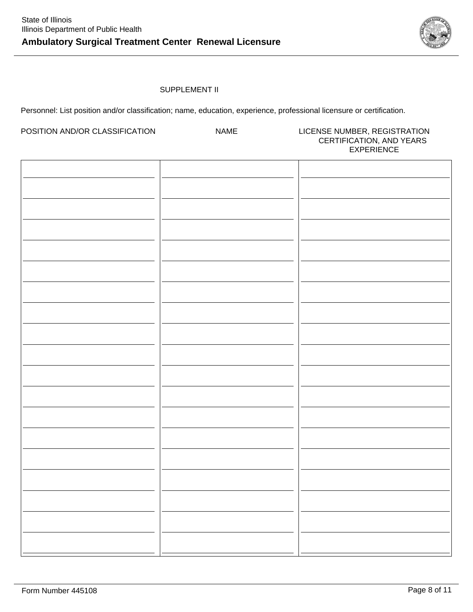

# SUPPLEMENT II

Personnel: List position and/or classification; name, education, experience, professional licensure or certification.

| POSITION AND/OR CLASSIFICATION | <b>NAME</b> | LICENSE NUMBER, REGISTRATION<br>CERTIFICATION, AND YEARS<br><b>EXPERIENCE</b> |
|--------------------------------|-------------|-------------------------------------------------------------------------------|
|                                |             |                                                                               |
|                                |             |                                                                               |
|                                |             |                                                                               |
|                                |             |                                                                               |
|                                |             |                                                                               |
|                                |             |                                                                               |
|                                |             |                                                                               |
|                                |             |                                                                               |
|                                |             |                                                                               |
|                                |             |                                                                               |
|                                |             |                                                                               |
|                                |             |                                                                               |
|                                |             |                                                                               |
|                                |             |                                                                               |
|                                |             |                                                                               |
|                                |             |                                                                               |
|                                |             |                                                                               |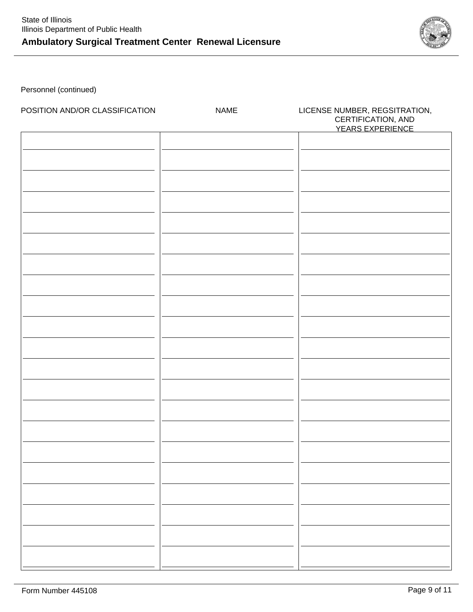

Personnel (continued)

| POSITION AND/OR CLASSIFICATION | <b>NAME</b> | LICENSE NUMBER, REGSITRATION,<br>CERTIFICATION, AND<br>YEARS EXPERIENCE |
|--------------------------------|-------------|-------------------------------------------------------------------------|
|                                |             |                                                                         |
|                                |             |                                                                         |
|                                |             |                                                                         |
|                                |             |                                                                         |
|                                |             |                                                                         |
|                                |             |                                                                         |
|                                |             |                                                                         |
|                                |             |                                                                         |
|                                |             |                                                                         |
|                                |             |                                                                         |
|                                |             |                                                                         |
|                                |             |                                                                         |
|                                |             |                                                                         |
|                                |             |                                                                         |
|                                |             |                                                                         |
|                                |             |                                                                         |
|                                |             |                                                                         |
|                                |             |                                                                         |
|                                |             |                                                                         |
|                                |             |                                                                         |
|                                |             |                                                                         |
|                                |             |                                                                         |
|                                |             |                                                                         |
|                                |             |                                                                         |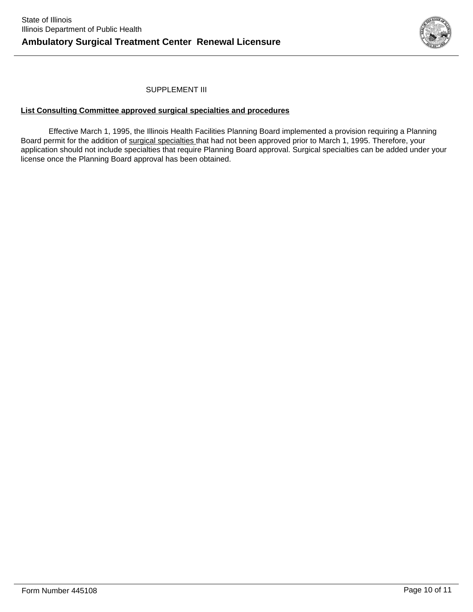

## SUPPLEMENT III

### **List Consulting Committee approved surgical specialties and procedures**

Effective March 1, 1995, the Illinois Health Facilities Planning Board implemented a provision requiring a Planning Board permit for the addition of surgical specialties that had not been approved prior to March 1, 1995. Therefore, your application should not include specialties that require Planning Board approval. Surgical specialties can be added under your license once the Planning Board approval has been obtained.